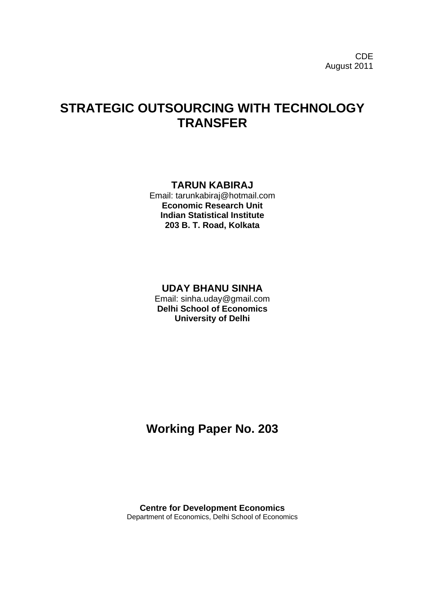# **STRATEGIC OUTSOURCING WITH TECHNOLOGY TRANSFER**

# **TARUN KABIRAJ**

Email: tarunkabiraj@hotmail.com **Economic Research Unit Indian Statistical Institute 203 B. T. Road, Kolkata**

# **UDAY BHANU SINHA**

Email: sinha.uday@gmail.com **Delhi School of Economics University of Delhi**

# **Working Paper No. 203**

**Centre for Development Economics** Department of Economics, Delhi School of Economics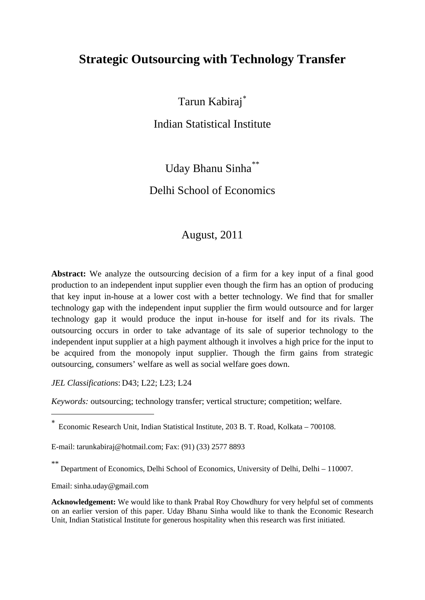# **Strategic Outsourcing with Technology Transfer**

Tarun Kabiraj[∗](#page-1-0)

Indian Statistical Institute

Uday Bhanu Sinha<sup>[\\*\\*](#page-1-1)</sup> Delhi School of Economics

# August, 2011

**Abstract:** We analyze the outsourcing decision of a firm for a key input of a final good production to an independent input supplier even though the firm has an option of producing that key input in-house at a lower cost with a better technology. We find that for smaller technology gap with the independent input supplier the firm would outsource and for larger technology gap it would produce the input in-house for itself and for its rivals. The outsourcing occurs in order to take advantage of its sale of superior technology to the independent input supplier at a high payment although it involves a high price for the input to be acquired from the monopoly input supplier. Though the firm gains from strategic outsourcing, consumers' welfare as well as social welfare goes down.

*JEL Classifications*: D43; L22; L23; L24

*Keywords:* outsourcing; technology transfer; vertical structure; competition; welfare.

<span id="page-1-0"></span><sup>∗</sup> Economic Research Unit, Indian Statistical Institute, 203 B. T. Road, Kolkata – 700108.

E-mail: [tarunkabiraj@hotmail.com;](mailto:tarunkabiraj@hotmail.com;) Fax: (91) (33) 2577 8893

Department of Economics, Delhi School of Economics, University of Delhi, Delhi – 110007.

Email: sinha.uday@gmail.com

<u>.</u>

<span id="page-1-1"></span>**Acknowledgement:** We would like to thank Prabal Roy Chowdhury for very helpful set of comments on an earlier version of this paper. Uday Bhanu Sinha would like to thank the Economic Research Unit, Indian Statistical Institute for generous hospitality when this research was first initiated.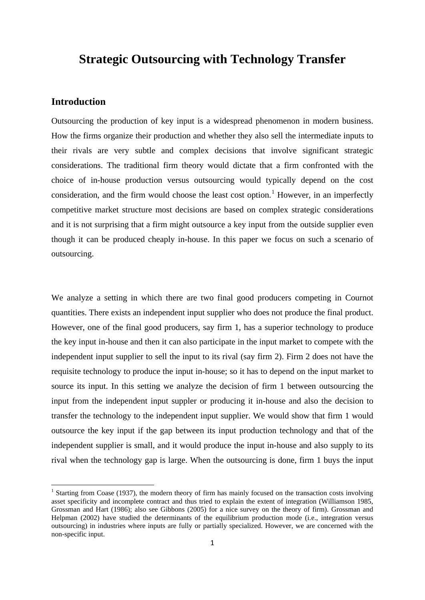# **Strategic Outsourcing with Technology Transfer**

## **Introduction**

<u>.</u>

Outsourcing the production of key input is a widespread phenomenon in modern business. How the firms organize their production and whether they also sell the intermediate inputs to their rivals are very subtle and complex decisions that involve significant strategic considerations. The traditional firm theory would dictate that a firm confronted with the choice of in-house production versus outsourcing would typically depend on the cost consideration, and the firm would choose the least cost option.<sup>[1](#page-2-0)</sup> However, in an imperfectly competitive market structure most decisions are based on complex strategic considerations and it is not surprising that a firm might outsource a key input from the outside supplier even though it can be produced cheaply in-house. In this paper we focus on such a scenario of outsourcing.

We analyze a setting in which there are two final good producers competing in Cournot quantities. There exists an independent input supplier who does not produce the final product. However, one of the final good producers, say firm 1, has a superior technology to produce the key input in-house and then it can also participate in the input market to compete with the independent input supplier to sell the input to its rival (say firm 2). Firm 2 does not have the requisite technology to produce the input in-house; so it has to depend on the input market to source its input. In this setting we analyze the decision of firm 1 between outsourcing the input from the independent input suppler or producing it in-house and also the decision to transfer the technology to the independent input supplier. We would show that firm 1 would outsource the key input if the gap between its input production technology and that of the independent supplier is small, and it would produce the input in-house and also supply to its rival when the technology gap is large. When the outsourcing is done, firm 1 buys the input

<span id="page-2-0"></span><sup>&</sup>lt;sup>1</sup> Starting from Coase (1937), the modern theory of firm has mainly focused on the transaction costs involving asset specificity and incomplete contract and thus tried to explain the extent of integration (Williamson 1985, Grossman and Hart (1986); also see Gibbons (2005) for a nice survey on the theory of firm). Grossman and Helpman (2002) have studied the determinants of the equilibrium production mode (i.e., integration versus outsourcing) in industries where inputs are fully or partially specialized. However, we are concerned with the non-specific input.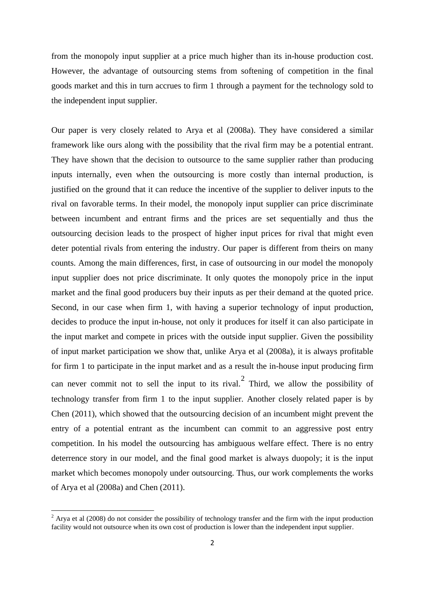from the monopoly input supplier at a price much higher than its in-house production cost. However, the advantage of outsourcing stems from softening of competition in the final goods market and this in turn accrues to firm 1 through a payment for the technology sold to the independent input supplier.

Our paper is very closely related to Arya et al (2008a). They have considered a similar framework like ours along with the possibility that the rival firm may be a potential entrant. They have shown that the decision to outsource to the same supplier rather than producing inputs internally, even when the outsourcing is more costly than internal production, is justified on the ground that it can reduce the incentive of the supplier to deliver inputs to the rival on favorable terms. In their model, the monopoly input supplier can price discriminate between incumbent and entrant firms and the prices are set sequentially and thus the outsourcing decision leads to the prospect of higher input prices for rival that might even deter potential rivals from entering the industry. Our paper is different from theirs on many counts. Among the main differences, first, in case of outsourcing in our model the monopoly input supplier does not price discriminate. It only quotes the monopoly price in the input market and the final good producers buy their inputs as per their demand at the quoted price. Second, in our case when firm 1, with having a superior technology of input production, decides to produce the input in-house, not only it produces for itself it can also participate in the input market and compete in prices with the outside input supplier. Given the possibility of input market participation we show that, unlike Arya et al (2008a), it is always profitable for firm 1 to participate in the input market and as a result the in-house input producing firm can never commit not to sell the input to its rival.<sup>[2](#page-3-0)</sup> Third, we allow the possibility of technology transfer from firm 1 to the input supplier. Another closely related paper is by Chen (2011), which showed that the outsourcing decision of an incumbent might prevent the entry of a potential entrant as the incumbent can commit to an aggressive post entry competition. In his model the outsourcing has ambiguous welfare effect. There is no entry deterrence story in our model, and the final good market is always duopoly; it is the input market which becomes monopoly under outsourcing. Thus, our work complements the works of Arya et al (2008a) and Chen (2011).

<u>.</u>

<span id="page-3-0"></span> $2 \text{ A}$ rva et al (2008) do not consider the possibility of technology transfer and the firm with the input production facility would not outsource when its own cost of production is lower than the independent input supplier.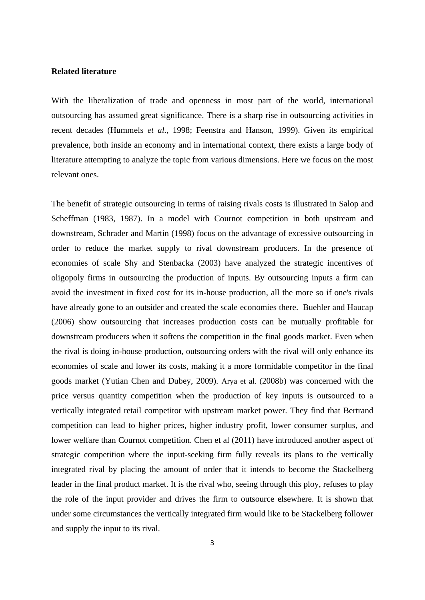#### **Related literature**

With the liberalization of trade and openness in most part of the world, international outsourcing has assumed great significance. There is a sharp rise in outsourcing activities in recent decades (Hummels *et al.*, 1998; Feenstra and Hanson, 1999). Given its empirical prevalence, both inside an economy and in international context, there exists a large body of literature attempting to analyze the topic from various dimensions. Here we focus on the most relevant ones.

The benefit of strategic outsourcing in terms of raising rivals costs is illustrated in Salop and Scheffman (1983, 1987). In a model with Cournot competition in both upstream and downstream, Schrader and Martin (1998) focus on the advantage of excessive outsourcing in order to reduce the market supply to rival downstream producers. In the presence of economies of scale Shy and Stenbacka (2003) have analyzed the strategic incentives of oligopoly firms in outsourcing the production of inputs. By outsourcing inputs a firm can avoid the investment in fixed cost for its in-house production, all the more so if one's rivals have already gone to an outsider and created the scale economies there. Buehler and Haucap (2006) show outsourcing that increases production costs can be mutually profitable for downstream producers when it softens the competition in the final goods market. Even when the rival is doing in-house production, outsourcing orders with the rival will only enhance its economies of scale and lower its costs, making it a more formidable competitor in the final goods market (Yutian Chen and Dubey, 2009). Arya et al. (2008b) was concerned with the price versus quantity competition when the production of key inputs is outsourced to a vertically integrated retail competitor with upstream market power. They find that Bertrand competition can lead to higher prices, higher industry profit, lower consumer surplus, and lower welfare than Cournot competition. Chen et al (2011) have introduced another aspect of strategic competition where the input-seeking firm fully reveals its plans to the vertically integrated rival by placing the amount of order that it intends to become the Stackelberg leader in the final product market. It is the rival who, seeing through this ploy, refuses to play the role of the input provider and drives the firm to outsource elsewhere. It is shown that under some circumstances the vertically integrated firm would like to be Stackelberg follower and supply the input to its rival.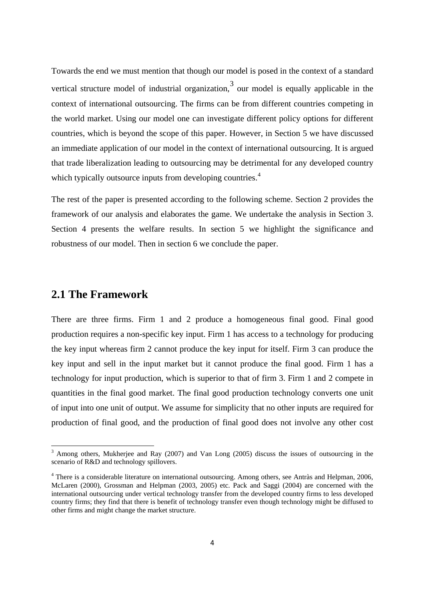Towards the end we must mention that though our model is posed in the context of a standard vertical structure model of industrial organization,<sup>[3](#page-5-0)</sup> our model is equally applicable in the context of international outsourcing. The firms can be from different countries competing in the world market. Using our model one can investigate different policy options for different countries, which is beyond the scope of this paper. However, in Section 5 we have discussed an immediate application of our model in the context of international outsourcing. It is argued that trade liberalization leading to outsourcing may be detrimental for any developed country which typically outsource inputs from developing countries.<sup>[4](#page-5-1)</sup>

The rest of the paper is presented according to the following scheme. Section 2 provides the framework of our analysis and elaborates the game. We undertake the analysis in Section 3. Section 4 presents the welfare results. In section 5 we highlight the significance and robustness of our model. Then in section 6 we conclude the paper.

# **2.1 The Framework**

<u>.</u>

There are three firms. Firm 1 and 2 produce a homogeneous final good. Final good production requires a non-specific key input. Firm 1 has access to a technology for producing the key input whereas firm 2 cannot produce the key input for itself. Firm 3 can produce the key input and sell in the input market but it cannot produce the final good. Firm 1 has a technology for input production, which is superior to that of firm 3. Firm 1 and 2 compete in quantities in the final good market. The final good production technology converts one unit of input into one unit of output. We assume for simplicity that no other inputs are required for production of final good, and the production of final good does not involve any other cost

<span id="page-5-0"></span><sup>3</sup> Among others, Mukherjee and Ray (2007) and Van Long (2005) discuss the issues of outsourcing in the scenario of R&D and technology spillovers.

<span id="page-5-1"></span><sup>4</sup> There is a considerable literature on international outsourcing. Among others, see Antràs and Helpman, 2006, McLaren (2000), Grossman and Helpman (2003, 2005) etc. Pack and Saggi (2004) are concerned with the international outsourcing under vertical technology transfer from the developed country firms to less developed country firms; they find that there is benefit of technology transfer even though technology might be diffused to other firms and might change the market structure.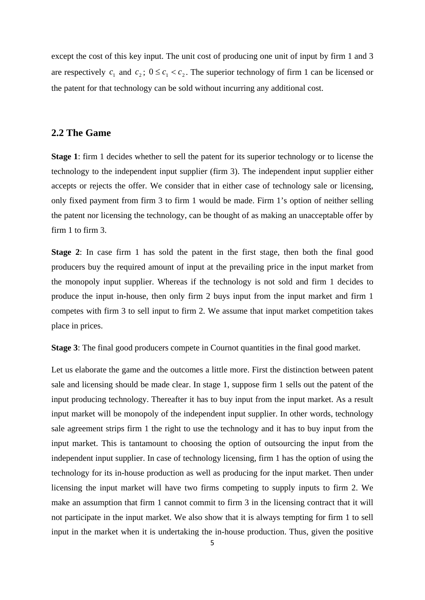except the cost of this key input. The unit cost of producing one unit of input by firm 1 and 3 are respectively  $c_1$  and  $c_2$ ;  $0 \le c_1 < c_2$ . The superior technology of firm 1 can be licensed or the patent for that technology can be sold without incurring any additional cost.

### **2.2 The Game**

**Stage 1**: firm 1 decides whether to sell the patent for its superior technology or to license the technology to the independent input supplier (firm 3). The independent input supplier either accepts or rejects the offer. We consider that in either case of technology sale or licensing, only fixed payment from firm 3 to firm 1 would be made. Firm 1's option of neither selling the patent nor licensing the technology, can be thought of as making an unacceptable offer by firm 1 to firm 3.

**Stage 2**: In case firm 1 has sold the patent in the first stage, then both the final good producers buy the required amount of input at the prevailing price in the input market from the monopoly input supplier. Whereas if the technology is not sold and firm 1 decides to produce the input in-house, then only firm 2 buys input from the input market and firm 1 competes with firm 3 to sell input to firm 2. We assume that input market competition takes place in prices.

**Stage 3**: The final good producers compete in Cournot quantities in the final good market.

Let us elaborate the game and the outcomes a little more. First the distinction between patent sale and licensing should be made clear. In stage 1, suppose firm 1 sells out the patent of the input producing technology. Thereafter it has to buy input from the input market. As a result input market will be monopoly of the independent input supplier. In other words, technology sale agreement strips firm 1 the right to use the technology and it has to buy input from the input market. This is tantamount to choosing the option of outsourcing the input from the independent input supplier. In case of technology licensing, firm 1 has the option of using the technology for its in-house production as well as producing for the input market. Then under licensing the input market will have two firms competing to supply inputs to firm 2. We make an assumption that firm 1 cannot commit to firm 3 in the licensing contract that it will not participate in the input market. We also show that it is always tempting for firm 1 to sell input in the market when it is undertaking the in-house production. Thus, given the positive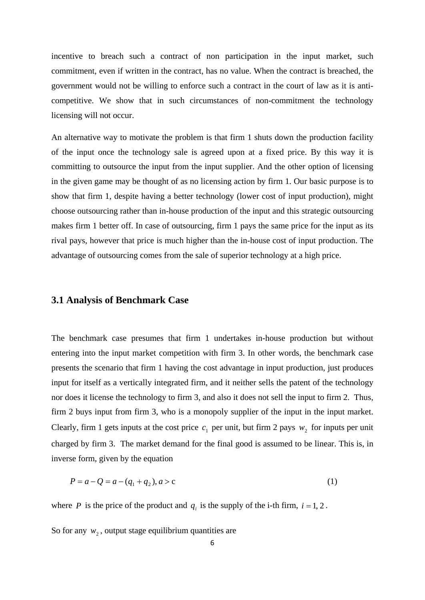incentive to breach such a contract of non participation in the input market, such commitment, even if written in the contract, has no value. When the contract is breached, the government would not be willing to enforce such a contract in the court of law as it is anticompetitive. We show that in such circumstances of non-commitment the technology licensing will not occur.

An alternative way to motivate the problem is that firm 1 shuts down the production facility of the input once the technology sale is agreed upon at a fixed price. By this way it is committing to outsource the input from the input supplier. And the other option of licensing in the given game may be thought of as no licensing action by firm 1. Our basic purpose is to show that firm 1, despite having a better technology (lower cost of input production), might choose outsourcing rather than in-house production of the input and this strategic outsourcing makes firm 1 better off. In case of outsourcing, firm 1 pays the same price for the input as its rival pays, however that price is much higher than the in-house cost of input production. The advantage of outsourcing comes from the sale of superior technology at a high price.

## **3.1 Analysis of Benchmark Case**

The benchmark case presumes that firm 1 undertakes in-house production but without entering into the input market competition with firm 3. In other words, the benchmark case presents the scenario that firm 1 having the cost advantage in input production, just produces input for itself as a vertically integrated firm, and it neither sells the patent of the technology nor does it license the technology to firm 3, and also it does not sell the input to firm 2. Thus, firm 2 buys input from firm 3, who is a monopoly supplier of the input in the input market. Clearly, firm 1 gets inputs at the cost price  $c_1$  per unit, but firm 2 pays  $w_2$  for inputs per unit charged by firm 3. The market demand for the final good is assumed to be linear. This is, in inverse form, given by the equation

$$
P = a - Q = a - (q_1 + q_2), a > c \tag{1}
$$

where *P* is the price of the product and  $q_i$  is the supply of the i-th firm,  $i = 1, 2$ .

So for any  $w_2$ , output stage equilibrium quantities are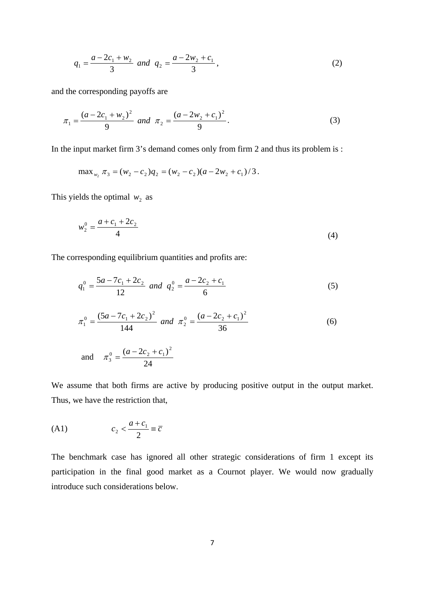$$
q_1 = \frac{a - 2c_1 + w_2}{3} \text{ and } q_2 = \frac{a - 2w_2 + c_1}{3},
$$
 (2)

and the corresponding payoffs are

$$
\pi_1 = \frac{(a - 2c_1 + w_2)^2}{9} \text{ and } \pi_2 = \frac{(a - 2w_2 + c_1)^2}{9}.
$$
 (3)

In the input market firm 3's demand comes only from firm 2 and thus its problem is :

$$
\max_{w_2} \pi_3 = (w_2 - c_2)q_2 = (w_2 - c_2)(a - 2w_2 + c_1)/3.
$$

This yields the optimal  $w_2$  as

$$
w_2^0 = \frac{a + c_1 + 2c_2}{4}
$$
 (4)

The corresponding equilibrium quantities and profits are:

$$
q_1^0 = \frac{5a - 7c_1 + 2c_2}{12} \text{ and } q_2^0 = \frac{a - 2c_2 + c_1}{6} \tag{5}
$$

$$
\pi_1^0 = \frac{(5a - 7c_1 + 2c_2)^2}{144} \text{ and } \pi_2^0 = \frac{(a - 2c_2 + c_1)^2}{36} \tag{6}
$$

 and 24  $\pi_3^0 = \frac{(a-2c_2+c_1)^2}{24}$  $\pi_3^0 = \frac{(a-2c_2+c_1)^2}{24}$ 

We assume that both firms are active by producing positive output in the output market. Thus, we have the restriction that,

$$
(A1) \t\t\t c_2 < \frac{a+c_1}{2} \equiv \overline{c}
$$

The benchmark case has ignored all other strategic considerations of firm 1 except its participation in the final good market as a Cournot player. We would now gradually introduce such considerations below.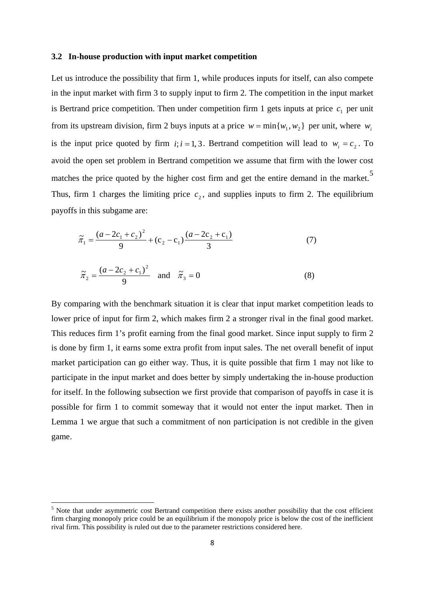#### **3.2 In-house production with input market competition**

Let us introduce the possibility that firm 1, while produces inputs for itself, can also compete in the input market with firm 3 to supply input to firm 2. The competition in the input market is Bertrand price competition. Then under competition firm 1 gets inputs at price  $c_1$  per unit from its upstream division, firm 2 buys inputs at a price  $w = \min \{ w_1, w_2 \}$  per unit, where  $w_i$ is the input price quoted by firm  $i$ ;  $i = 1, 3$ . Bertrand competition will lead to  $w_i = c_2$ . To avoid the open set problem in Bertrand competition we assume that firm with the lower cost matches the price quoted by the higher cost firm and get the entire demand in the market.<sup>[5](#page-9-0)</sup> Thus, firm 1 charges the limiting price  $c<sub>2</sub>$ , and supplies inputs to firm 2. The equilibrium payoffs in this subgame are:

$$
\widetilde{\pi}_1 = \frac{(a - 2c_1 + c_2)^2}{9} + (c_2 - c_1) \frac{(a - 2c_2 + c_1)}{3} \tag{7}
$$

$$
\tilde{\pi}_2 = \frac{(a - 2c_2 + c_1)^2}{9} \quad \text{and} \quad \tilde{\pi}_3 = 0 \tag{8}
$$

By comparing with the benchmark situation it is clear that input market competition leads to lower price of input for firm 2, which makes firm 2 a stronger rival in the final good market. This reduces firm 1's profit earning from the final good market. Since input supply to firm 2 is done by firm 1, it earns some extra profit from input sales. The net overall benefit of input market participation can go either way. Thus, it is quite possible that firm 1 may not like to participate in the input market and does better by simply undertaking the in-house production for itself. In the following subsection we first provide that comparison of payoffs in case it is possible for firm 1 to commit someway that it would not enter the input market. Then in Lemma 1 we argue that such a commitment of non participation is not credible in the given game.

<u>.</u>

<span id="page-9-0"></span><sup>&</sup>lt;sup>5</sup> Note that under asymmetric cost Bertrand competition there exists another possibility that the cost efficient firm charging monopoly price could be an equilibrium if the monopoly price is below the cost of the inefficient rival firm. This possibility is ruled out due to the parameter restrictions considered here.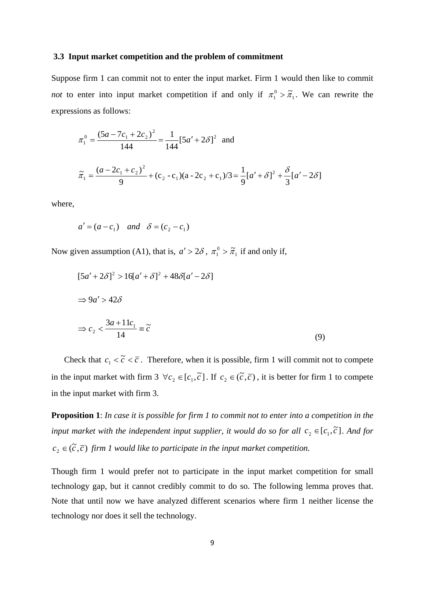#### **3.3 Input market competition and the problem of commitment**

Suppose firm 1 can commit not to enter the input market. Firm 1 would then like to commit *not* to enter into input market competition if and only if  $\pi_1^0 > \tilde{\pi}_1$  $\pi_1^0 > \tilde{\pi}_1$ . We can rewrite the expressions as follows:

$$
\pi_1^0 = \frac{(5a - 7c_1 + 2c_2)^2}{144} = \frac{1}{144} [5a' + 2\delta]^2 \text{ and}
$$
  

$$
\tilde{\pi}_1 = \frac{(a - 2c_1 + c_2)^2}{9} + (c_2 - c_1)(a - 2c_2 + c_1)/3 = \frac{1}{9} [a' + \delta]^2 + \frac{\delta}{3} [a' - 2\delta]
$$

where,

$$
a' = (a - c_1)
$$
 and  $\delta = (c_2 - c_1)$ 

Now given assumption (A1), that is,  $a' > 2\delta$ ,  $\pi_1^0 > \tilde{\pi}_1$  $\pi_1^0 > \tilde{\pi}_1$  if and only if,

$$
[5a' + 2\delta]^2 > 16[a' + \delta]^2 + 48\delta[a' - 2\delta]
$$
  
\n
$$
\Rightarrow 9a' > 42\delta
$$
  
\n
$$
\Rightarrow c_2 < \frac{3a + 11c_1}{14} = \tilde{c}
$$
 (9)

Check that  $c_1 < \tilde{c} < \overline{c}$ . Therefore, when it is possible, firm 1 will commit not to compete in the input market with firm 3  $\forall c_2 \in [c_1, \tilde{c}]$ . If  $c_2 \in (\tilde{c}, \bar{c})$ , it is better for firm 1 to compete in the input market with firm 3.

**Proposition 1**: *In case it is possible for firm 1 to commit not to enter into a competition in the input market with the independent input supplier, it would do so for all*  $c_2 \in [c_1, \tilde{c}]$ . And for  $c_2 \in (\tilde{c}, \overline{c})$  firm 1 would like to participate in the input market competition.

Though firm 1 would prefer not to participate in the input market competition for small technology gap, but it cannot credibly commit to do so. The following lemma proves that. Note that until now we have analyzed different scenarios where firm 1 neither license the technology nor does it sell the technology.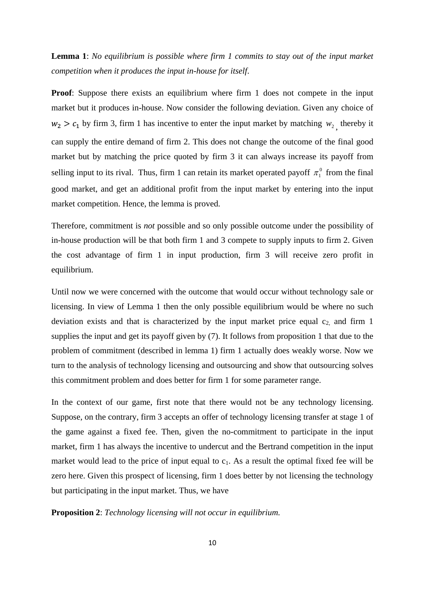**Lemma 1**: *No equilibrium is possible where firm 1 commits to stay out of the input market competition when it produces the input in-house for itself*.

**Proof:** Suppose there exists an equilibrium where firm 1 does not compete in the input market but it produces in-house. Now consider the following deviation. Given any choice of  $w_2 > c_1$  by firm 3, firm 1 has incentive to enter the input market by matching  $w_2$ , thereby it can supply the entire demand of firm 2. This does not change the outcome of the final good market but by matching the price quoted by firm 3 it can always increase its payoff from selling input to its rival. Thus, firm 1 can retain its market operated payoff  $\pi_1^0$  from the final good market, and get an additional profit from the input market by entering into the input market competition. Hence, the lemma is proved.

Therefore, commitment is *not* possible and so only possible outcome under the possibility of in-house production will be that both firm 1 and 3 compete to supply inputs to firm 2. Given the cost advantage of firm 1 in input production, firm 3 will receive zero profit in equilibrium.

Until now we were concerned with the outcome that would occur without technology sale or licensing. In view of Lemma 1 then the only possible equilibrium would be where no such deviation exists and that is characterized by the input market price equal  $c_2$  and firm 1 supplies the input and get its payoff given by (7). It follows from proposition 1 that due to the problem of commitment (described in lemma 1) firm 1 actually does weakly worse. Now we turn to the analysis of technology licensing and outsourcing and show that outsourcing solves this commitment problem and does better for firm 1 for some parameter range.

In the context of our game, first note that there would not be any technology licensing. Suppose, on the contrary, firm 3 accepts an offer of technology licensing transfer at stage 1 of the game against a fixed fee. Then, given the no-commitment to participate in the input market, firm 1 has always the incentive to undercut and the Bertrand competition in the input market would lead to the price of input equal to  $c_1$ . As a result the optimal fixed fee will be zero here. Given this prospect of licensing, firm 1 does better by not licensing the technology but participating in the input market. Thus, we have

**Proposition 2**: *Technology licensing will not occur in equilibrium.*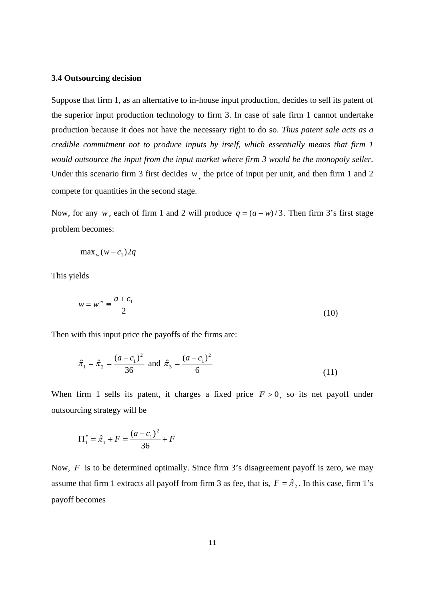#### **3.4 Outsourcing decision**

Suppose that firm 1, as an alternative to in-house input production, decides to sell its patent of the superior input production technology to firm 3. In case of sale firm 1 cannot undertake production because it does not have the necessary right to do so. *Thus patent sale acts as a credible commitment not to produce inputs by itself, which essentially means that firm 1 would outsource the input from the input market where firm 3 would be the monopoly seller.* Under this scenario firm 3 first decides *w*, the price of input per unit, and then firm 1 and 2 compete for quantities in the second stage.

Now, for any *w*, each of firm 1 and 2 will produce  $q = (a - w)/3$ . Then firm 3's first stage problem becomes:

$$
\max_{w}(w-c_1)2q
$$

This yields

$$
w = wm \equiv \frac{a + c_1}{2} \tag{10}
$$

Then with this input price the payoffs of the firms are:

$$
\hat{\pi}_1 = \hat{\pi}_2 = \frac{(a - c_1)^2}{36}
$$
 and  $\hat{\pi}_3 = \frac{(a - c_1)^2}{6}$  (11)

When firm 1 sells its patent, it charges a fixed price  $F > 0$ , so its net payoff under outsourcing strategy will be

$$
\Pi_1^* = \hat{\pi}_1 + F = \frac{(a - c_1)^2}{36} + F
$$

Now, *F* is to be determined optimally. Since firm 3's disagreement payoff is zero, we may assume that firm 1 extracts all payoff from firm 3 as fee, that is,  $F = \hat{\pi}_2$ . In this case, firm 1's payoff becomes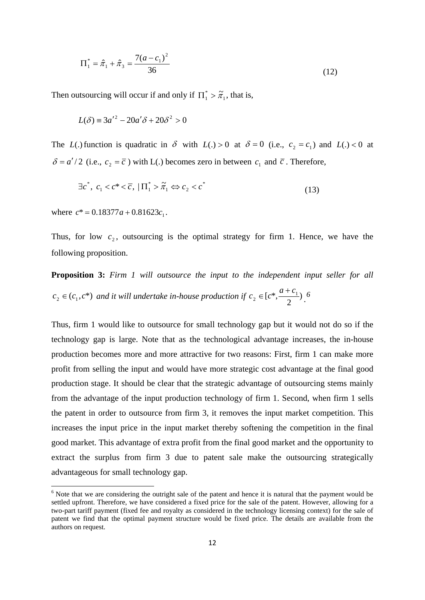$$
\Pi_1^* = \hat{\pi}_1 + \hat{\pi}_3 = \frac{7(a - c_1)^2}{36}
$$
 (12)

Then outsourcing will occur if and only if  $\Pi_1^* > \tilde{\pi}_1$  $\prod_{1}^{*} > \tilde{\pi}_1$ , that is,

$$
L(\delta) \equiv 3a'^2 - 20a'\delta + 20\delta^2 > 0
$$

The *L*(.) function is quadratic in  $\delta$  with *L*(.) > 0 at  $\delta = 0$  (i.e.,  $c_2 = c_1$ ) and *L*(.) < 0 at  $\delta = a'/2$  (i.e.,  $c_2 = \overline{c}$ ) with L(.) becomes zero in between  $c_1$  and  $\overline{c}$ . Therefore,

$$
\exists c^*, \ c_1 < c^* < \overline{c}, \ \left| \Pi_1^* > \tilde{\pi}_1 \Leftrightarrow c_2 < c^* \right. \tag{13}
$$

where  $c^* = 0.18377a + 0.81623c_1$ .

<u>.</u>

Thus, for low  $c_2$ , outsourcing is the optimal strategy for firm 1. Hence, we have the following proposition.

**Proposition 3:** *Firm 1 will outsource the input to the independent input seller for all*   $c_2 \in (c_1, c^*)$  and it will undertake in-house production if  $c_2 \in [c^*, \frac{a+c_1}{2})$  $c_2 \in [c^*, \frac{a+c}{2}]$  $\in [c^*, \frac{a+c_1}{2})$ .<sup>[6](#page-13-0)</sup>

Thus, firm 1 would like to outsource for small technology gap but it would not do so if the technology gap is large. Note that as the technological advantage increases, the in-house production becomes more and more attractive for two reasons: First, firm 1 can make more profit from selling the input and would have more strategic cost advantage at the final good production stage. It should be clear that the strategic advantage of outsourcing stems mainly from the advantage of the input production technology of firm 1. Second, when firm 1 sells the patent in order to outsource from firm 3, it removes the input market competition. This increases the input price in the input market thereby softening the competition in the final good market. This advantage of extra profit from the final good market and the opportunity to extract the surplus from firm 3 due to patent sale make the outsourcing strategically advantageous for small technology gap.

<span id="page-13-0"></span><sup>&</sup>lt;sup>6</sup> Note that we are considering the outright sale of the patent and hence it is natural that the payment would be settled upfront. Therefore, we have considered a fixed price for the sale of the patent. However, allowing for a two-part tariff payment (fixed fee and royalty as considered in the technology licensing context) for the sale of patent we find that the optimal payment structure would be fixed price. The details are available from the authors on request.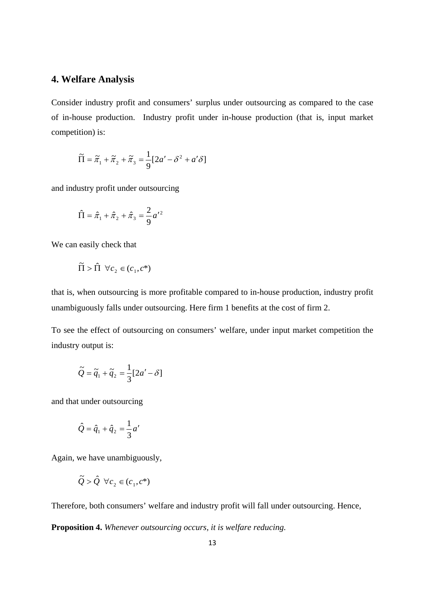# **4. Welfare Analysis**

Consider industry profit and consumers' surplus under outsourcing as compared to the case of in-house production. Industry profit under in-house production (that is, input market competition) is:

$$
\widetilde{\Pi} = \widetilde{\pi}_1 + \widetilde{\pi}_2 + \widetilde{\pi}_3 = \frac{1}{9} [2a' - \delta^2 + a'\delta]
$$

and industry profit under outsourcing

$$
\hat{\Pi} = \hat{\pi}_1 + \hat{\pi}_2 + \hat{\pi}_3 = \frac{2}{9} a'^2
$$

We can easily check that

$$
\tilde{\Pi} > \hat{\Pi} \ \forall c_2 \in (c_1, c^*)
$$

that is, when outsourcing is more profitable compared to in-house production, industry profit unambiguously falls under outsourcing. Here firm 1 benefits at the cost of firm 2.

To see the effect of outsourcing on consumers' welfare, under input market competition the industry output is:

$$
\widetilde{Q} = \widetilde{q}_1 + \widetilde{q}_2 = \frac{1}{3} [2a' - \delta]
$$

and that under outsourcing

$$
\hat{Q} = \hat{q}_1 + \hat{q}_2 = \frac{1}{3}a'
$$

Again, we have unambiguously,

$$
\tilde{Q} > \hat{Q} \ \forall c_2 \in (c_1, c^*)
$$

Therefore, both consumers' welfare and industry profit will fall under outsourcing. Hence,

**Proposition 4.** *Whenever outsourcing occurs, it is welfare reducing.*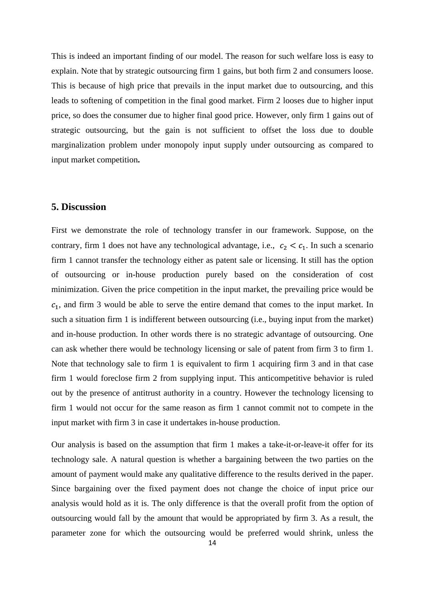This is indeed an important finding of our model. The reason for such welfare loss is easy to explain. Note that by strategic outsourcing firm 1 gains, but both firm 2 and consumers loose. This is because of high price that prevails in the input market due to outsourcing, and this leads to softening of competition in the final good market. Firm 2 looses due to higher input price, so does the consumer due to higher final good price. However, only firm 1 gains out of strategic outsourcing, but the gain is not sufficient to offset the loss due to double marginalization problem under monopoly input supply under outsourcing as compared to input market competition**.**

## **5. Discussion**

First we demonstrate the role of technology transfer in our framework. Suppose, on the contrary, firm 1 does not have any technological advantage, i.e.,  $c_2 < c_1$ . In such a scenario firm 1 cannot transfer the technology either as patent sale or licensing. It still has the option of outsourcing or in-house production purely based on the consideration of cost minimization. Given the price competition in the input market, the prevailing price would be  $c_1$ , and firm 3 would be able to serve the entire demand that comes to the input market. In such a situation firm 1 is indifferent between outsourcing (i.e., buying input from the market) and in-house production. In other words there is no strategic advantage of outsourcing. One can ask whether there would be technology licensing or sale of patent from firm 3 to firm 1. Note that technology sale to firm 1 is equivalent to firm 1 acquiring firm 3 and in that case firm 1 would foreclose firm 2 from supplying input. This anticompetitive behavior is ruled out by the presence of antitrust authority in a country. However the technology licensing to firm 1 would not occur for the same reason as firm 1 cannot commit not to compete in the input market with firm 3 in case it undertakes in-house production.

Our analysis is based on the assumption that firm 1 makes a take-it-or-leave-it offer for its technology sale. A natural question is whether a bargaining between the two parties on the amount of payment would make any qualitative difference to the results derived in the paper. Since bargaining over the fixed payment does not change the choice of input price our analysis would hold as it is. The only difference is that the overall profit from the option of outsourcing would fall by the amount that would be appropriated by firm 3. As a result, the parameter zone for which the outsourcing would be preferred would shrink, unless the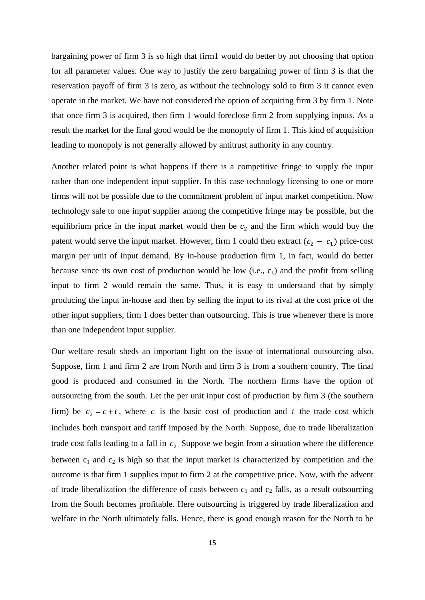bargaining power of firm 3 is so high that firm1 would do better by not choosing that option for all parameter values. One way to justify the zero bargaining power of firm 3 is that the reservation payoff of firm 3 is zero, as without the technology sold to firm 3 it cannot even operate in the market. We have not considered the option of acquiring firm 3 by firm 1. Note that once firm 3 is acquired, then firm 1 would foreclose firm 2 from supplying inputs. As a result the market for the final good would be the monopoly of firm 1. This kind of acquisition leading to monopoly is not generally allowed by antitrust authority in any country.

Another related point is what happens if there is a competitive fringe to supply the input rather than one independent input supplier. In this case technology licensing to one or more firms will not be possible due to the commitment problem of input market competition. Now technology sale to one input supplier among the competitive fringe may be possible, but the equilibrium price in the input market would then be  $c_2$  and the firm which would buy the patent would serve the input market. However, firm 1 could then extract  $(c_2 - c_1)$  price-cost margin per unit of input demand. By in-house production firm 1, in fact, would do better because since its own cost of production would be low  $(i.e., c<sub>1</sub>)$  and the profit from selling input to firm 2 would remain the same. Thus, it is easy to understand that by simply producing the input in-house and then by selling the input to its rival at the cost price of the other input suppliers, firm 1 does better than outsourcing. This is true whenever there is more than one independent input supplier.

Our welfare result sheds an important light on the issue of international outsourcing also. Suppose, firm 1 and firm 2 are from North and firm 3 is from a southern country. The final good is produced and consumed in the North. The northern firms have the option of outsourcing from the south. Let the per unit input cost of production by firm 3 (the southern firm) be  $c_2 = c + t$ , where *c* is the basic cost of production and *t* the trade cost which includes both transport and tariff imposed by the North. Suppose, due to trade liberalization trade cost falls leading to a fall in  $c<sub>2</sub>$ . Suppose we begin from a situation where the difference between  $c_1$  and  $c_2$  is high so that the input market is characterized by competition and the outcome is that firm 1 supplies input to firm 2 at the competitive price. Now, with the advent of trade liberalization the difference of costs between  $c_1$  and  $c_2$  falls, as a result outsourcing from the South becomes profitable. Here outsourcing is triggered by trade liberalization and welfare in the North ultimately falls. Hence, there is good enough reason for the North to be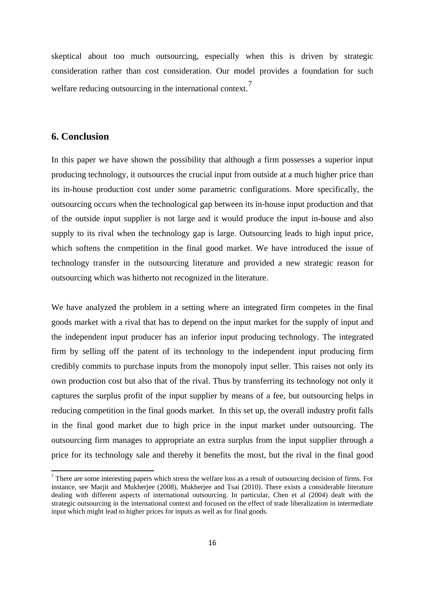skeptical about too much outsourcing, especially when this is driven by strategic consideration rather than cost consideration. Our model provides a foundation for such welfare reducing outsourcing in the international context.<sup>[7](#page-17-0)</sup>

## **6. Conclusion**

<u>.</u>

In this paper we have shown the possibility that although a firm possesses a superior input producing technology, it outsources the crucial input from outside at a much higher price than its in-house production cost under some parametric configurations. More specifically, the outsourcing occurs when the technological gap between its in-house input production and that of the outside input supplier is not large and it would produce the input in-house and also supply to its rival when the technology gap is large. Outsourcing leads to high input price, which softens the competition in the final good market. We have introduced the issue of technology transfer in the outsourcing literature and provided a new strategic reason for outsourcing which was hitherto not recognized in the literature.

We have analyzed the problem in a setting where an integrated firm competes in the final goods market with a rival that has to depend on the input market for the supply of input and the independent input producer has an inferior input producing technology. The integrated firm by selling off the patent of its technology to the independent input producing firm credibly commits to purchase inputs from the monopoly input seller. This raises not only its own production cost but also that of the rival. Thus by transferring its technology not only it captures the surplus profit of the input supplier by means of a fee, but outsourcing helps in reducing competition in the final goods market. In this set up, the overall industry profit falls in the final good market due to high price in the input market under outsourcing. The outsourcing firm manages to appropriate an extra surplus from the input supplier through a price for its technology sale and thereby it benefits the most, but the rival in the final good

<span id="page-17-0"></span> $<sup>7</sup>$  There are some interesting papers which stress the welfare loss as a result of outsourcing decision of firms. For</sup> instance, see Marjit and Mukherjee (2008), Mukherjee and Tsai (2010). There exists a considerable literature dealing with different aspects of international outsourcing. In particular, Chen et al (2004) dealt with the strategic outsourcing in the international context and focused on the effect of trade liberalization in intermediate input which might lead to higher prices for inputs as well as for final goods.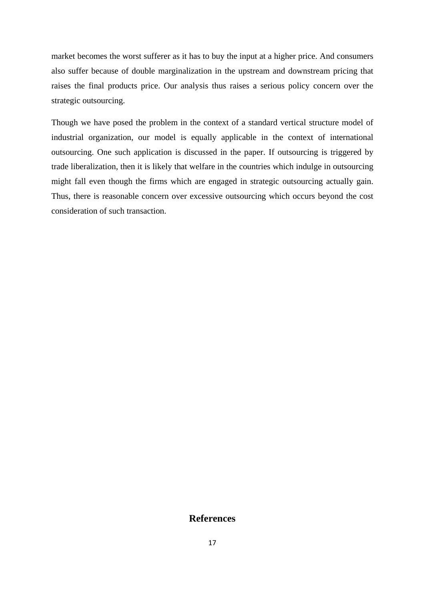market becomes the worst sufferer as it has to buy the input at a higher price. And consumers also suffer because of double marginalization in the upstream and downstream pricing that raises the final products price. Our analysis thus raises a serious policy concern over the strategic outsourcing.

Though we have posed the problem in the context of a standard vertical structure model of industrial organization, our model is equally applicable in the context of international outsourcing. One such application is discussed in the paper. If outsourcing is triggered by trade liberalization, then it is likely that welfare in the countries which indulge in outsourcing might fall even though the firms which are engaged in strategic outsourcing actually gain. Thus, there is reasonable concern over excessive outsourcing which occurs beyond the cost consideration of such transaction.

## **References**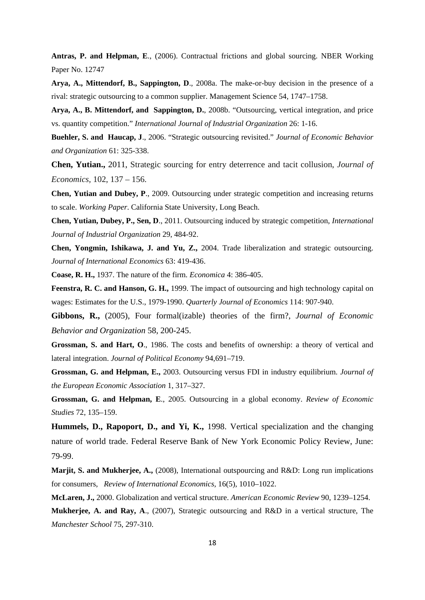**Antras, P. and Helpman, E**., (2006). Contractual frictions and global sourcing. NBER Working Paper No. 12747

**Arya, A., Mittendorf, B., Sappington, D**., 2008a. The make-or-buy decision in the presence of a rival: strategic outsourcing to a common supplier. Management Science 54, 1747–1758.

**Arya, A., B. Mittendorf, and Sappington, D.**, 2008b. "Outsourcing, vertical integration, and price vs. quantity competition." *International Journal of Industrial Organization* 26: 1-16.

**Buehler, S. and Haucap, J**., 2006. "Strategic outsourcing revisited." *Journal of Economic Behavior and Organization* 61: 325-338.

**Chen, Yutian.,** 2011, Strategic sourcing for entry deterrence and tacit collusion, *Journal of Economics,* 102, 137 – 156.

**Chen, Yutian and Dubey, P**., 2009. Outsourcing under strategic competition and increasing returns to scale. *Working Paper*. California State University, Long Beach.

**Chen, Yutian, Dubey, P., Sen, D**., 2011. Outsourcing induced by strategic competition, *International Journal of Industrial Organization* 29, 484-92.

**Chen, Yongmin, Ishikawa, J. and Yu, Z.,** 2004. Trade liberalization and strategic outsourcing. *Journal of International Economics* 63: 419-436.

**Coase, R. H.,** 1937. The nature of the firm. *Economica* 4: 386-405.

**Feenstra, R. C. and Hanson, G. H.,** 1999. The impact of outsourcing and high technology capital on wages: Estimates for the U.S., 1979-1990. *Quarterly Journal of Economics* 114: 907-940.

**Gibbons, R.,** (2005), Four formal(izable) theories of the firm?, *Journal of Economic Behavior and Organization* 58, 200-245.

**Grossman, S. and Hart, O**., 1986. The costs and benefits of ownership: a theory of vertical and lateral integration. *Journal of Political Economy* 94,691–719.

**Grossman, G. and Helpman, E.,** 2003. Outsourcing versus FDI in industry equilibrium. *Journal of the European Economic Association* 1, 317–327.

**Grossman, G. and Helpman, E**., 2005. Outsourcing in a global economy. *Review of Economic Studies* 72, 135–159.

**Hummels, D., Rapoport, D., and Yi, K.,** 1998. Vertical specialization and the changing nature of world trade. Federal Reserve Bank of New York Economic Policy Review, June: 79-99.

**Marjit, S. and Mukherjee, A.,** (2008), International outspourcing and R&D: Long run implications for consumers, *Review of International Economics,* 16(5), 1010–1022.

**McLaren, J.,** 2000. Globalization and vertical structure. *American Economic Review* 90, 1239–1254.

**Mukherjee, A. and Ray, A**., (2007), Strategic outsourcing and R&D in a vertical structure, The *Manchester School* 75, 297-310.